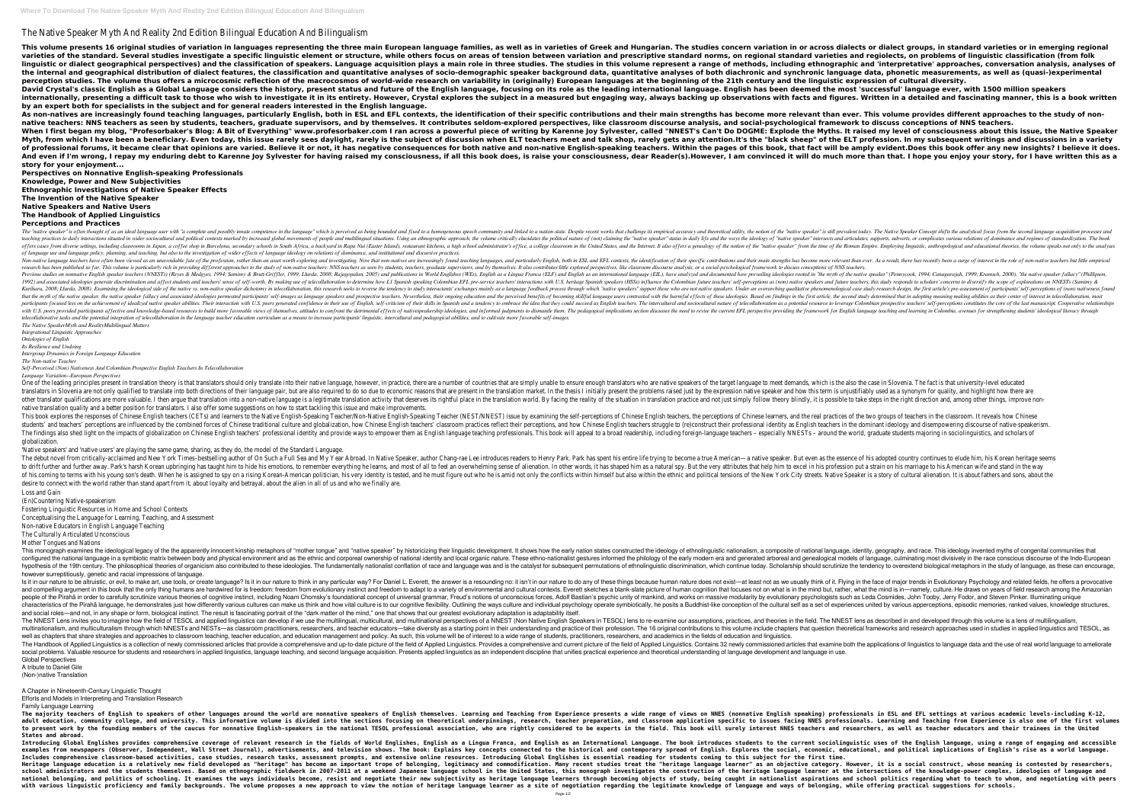## The Native Speaker Myth And Reality 2nd Edition Bilingual Education And Bilingualism

This volume presents 16 original studies of variation in languages representing the three main European language families, as well as in varieties of Greek and Hungarian. The studies concern variation in or across dialects varieties of the standard. Several studies investigate a specific linguistic element or structure, while others focus on areas of tension between variation and prescriptive standard norms, on regional standard varieties an linguistic or dialect geographical perspectives) and the classification of speakers. Language acquisition plays a main role in three studies, The studies in this volume represent a range of methods, including ethnographic the internal and geographical distribution of dialect features, the classification and quantitative analyses of socio-demographic speaker background data, quantitative analyses of both diachronic and synchronic language da perception studies. The volume thus offers a microcosmic reflection of the macrocosmos of world-wide research on variability in (originally) European languages at the beginning of the 21th century and the linguistic expres David Crystal's classic English as a Global Language considers the history, present status and future of the English language, focusing on its role as the leading international language. English has been deemed the most 's internationally, presenting a difficult task to those who wish to investigate it in its entirety. However, Crystal explores the subject in a measured but engaging way, always backing up observations with facts and figures. **by an expert both for specialists in the subject and for general readers interested in the English language.** As non-natives are increasingly found teaching languages, particularly English, both in ESL and EFL contexts, the identification of their specific contributions and their main strengths has become more relevant than ever. native teachers: NNS teachers as seen by students, teachers, graduate supervisors, and by themselves. It contributes seldom-explored perspectives, like classroom discourse analysis, and social-psychological framework to di When I first began my blog, "Profesorbaker's Blog: A Bit of Everything" www.profesorbaker.com I ran across a powerful piece of writing by Karenne Joy Sylvester, called "NNEST's Can't Do DOGME: Explode the Myths. It raised Myth, from which I have been a beneficiary. Even today, this issue rarely sees daylight, rarely is the subject of discussion when ELT teachers meet and talk shop, rarely gets any attention.It's the "black sheep" of the ELT of professional forums, it became clear that opinions are varied. Believe it or not, it has negative consequences for both native and non-native English-speaking teachers. Within the pages of this book, that fact will be a And even if I'm wrong, I repay my enduring debt to Karenne Joy Sylvester for having raised my consciousness, if all this book does, is raise your consciousness, dear Reader(s). However, I am convinced it will do much more **story for your enjoyment...**

**Perspectives on Nonnative English-speaking Professionals**

**Knowledge, Power and New Subjectivities**

**Ethnographic Investigations of Native Speaker Effects**

**The Invention of the Native Speaker**

**Native Speakers and Native Users The Handbook of Applied Linguistics**

## **Perceptions and Practices**

The "native speaker" is often thought of as an ideal language user with "a complete and possibly innate competence in the language" which is perceived as being bounded and fixed to a nation-state. Despite recent works that *interactions situated in wider sociocultural and political contexts marked by increased global movements of people and multilingual situations. Using an ethnographic approach, the volume critically elucidates the politica* offers cases from diverse settings, including classrooms in Japan, a coffee shop in Barcelona, secondary schools in South Africa, a backyard in Rapa Nui (Easter Island), restaurant kitchens, a high school administrator's o *of language use and language policy, planning, and teaching, but also to the investigation of wider effects of language ideology on relations of dominance, and institutional and discursive practices.* Non-native language teachers have often been viewed as an unavoidable fate of the profession, rather than an asset worth exploring and investigating. Now that non-natives are increasingly found teaching languages, and part are research has been published so far. This volume is particularly rich in providing different approaches to the study of non-native teachers. NNS teachers, graduate supervisors, and by themselves. It also contributes lit Previous studies on nonnative English speaker teachers (NNESTs) (Reyes & Medgyes, 1994; Samimy & Brutt-Griffler, 1999; Llurda, 2005) and publications in World English as an international language (EIL), have analyzed and d 1992) and associated ideologies generate discrimination and affect students and teachers' sense of self-worth. By making use of telecollaboration to determine how L1 Spanish speakers (HSSs) influence the Colombian EFL pre-Examining the ideological side of the native vs. non-native speaker dichotomy in telecollaboration, this research seeks to reverse the tendency to study research design, the first article's pre-assessment of participants' Inages as language speaker, the indive speaker fallacy and associated ideologies permeated participants' self-images as language speakers and prospective teachers. Nevertheless, their ongoing education and the perceived be participants focused less on the achievement of idealized native speaker abilities. Their interaction with U.S. peers generated confidence in their use of English, self-criticism of their skills in Spanish and a tendency t with U.S. peers provided participants affective and knowledge-based resources to build more favorable views of themselves, attitudes to confront the detrimental effects of nativespeakership ideologies, and informed judgmen telecollaborative tasks and the potential integration of telecollaboration in the language teacher education curriculum as a means to increase participants' linguistic, intercultural and pedagogical abilities, and to culti *The Native SpeakerMyth and RealityMultilingual Matters*

One of the leading principles present in translation theory is that translators should only translators should only translate into their native language, however, in practice, there are a number of countries that are simpl translators in Slovenia are not only qualified to translate into both directions of their language pair, but are also required to do so due to economic reasons that are present in the translation market. In the translation other translator qualifications are more valuable. I then arque that translation into a non-native language is a legitimate translation practice and not just simply follow theory blindly, it is possible to take steps in th native translation quality and a better position for translators. I also offer some suggestions on how to start tackling this issue and make improvements. This book explores the responses of Chinese English teachers (CETs) and learners to the Native English-Speaking Teacher/Non-Native English-Speaking Teacher/Non-Native English teachers, the perceptions of Chinese learners, students' and teachers' perceptions are influenced by the combined forces of Chinese traditional culture and globalization, how Chinese English teachers' classroom practices reflect their professional identity as English t The findings also shed light on the impacts of globalization on Chinese English teachers' professional identity and provide ways to empower them as English language teachers – especially NNESTs – around the world, graduate globalization.

The debut novel from critically-acclaimed and New York Times-bestselling author of On Such a Full Sea and My Year Abroad. In Native Speaker, author Chang-rae Lee introduces readers to Henry Park. Park has spent his entire to drift further and further away. Park's harsh Korean upbringing has taught him to hide his emotions, to remember everything he learns, and most of all to feel an overwhelming sense of all to feel an overwhelming sense of of his coming to terms with his young son's death. When he is assigned to spy on a rising Korean-American politician, his very identity is tested, and he must figure out who he is amid not only the conflicts within himself desire to connect with the world rather than stand apart from it, about loyalty and betrayal, about the alien in all of us and who we finally are. Loss and Gain

This monograph examines the ideological legacy of the the apparently innocent kinship metaphors of "mother tonque" and "native speaker" by historicizing their linguistic nationalism, a composite of national language, ident configured the national language in a symbiotic matrix between body and physical environment and as the ethnic and as the ethnic and corporeal ownership of national identity and local organic nature. These ethno-nationalis hypothesis of the 19th century. The philosophical theories of organicism also contributed to these ideologies. The fundamentally nationalist conflation of race and language was and is the catalyst for subsequent permutatio however surreptitiously, genetic and racial impressions of language.

Is it in our nature to be altruistic, or evil, to make art, use tools, or create language? Is it in our nature to think in any particular way? For Daniel L. Everett, the answer is a resounding no: it isn't in our nature to and compelling argument in this book that the only thing humans are hardwired for is freedom: freedom: freedom from evolutionary instinct and freedom to a variety of environmental and cultural contexts. Everett sketches a people of the Pirahã in order to carefully scrutinize various theories of cognitive instinct, including Noam Chomsky's foundational concept of universal grammar, Freud's notions of universal grammar, Freud's notions of unc characteristics of the Pirahã language, he demonstrates just how differently various cultures can make us think and how vital culture is to our cognitive flexibility. Outlining the ways culture is a set of experiences unit and social roles—and not, in any shape or form, biological instinct. The result is fascinating portrait of the "dark matter of the mind," one that shows that our greatest evolutionary adaptation is adaptability itself. The NNEST Lens invites you to imagine how the field of TESOL and applied linguistics can develop if we use the multilingual, multicultural, and multinational perspectives of a NNEST (Non Native English Speakers in TESOL) l multinationalism, and multiculturalism through which NNESTs and NESTs—as classroom practitioners, researchers, and teacher educators—take diversity as a starting point in their understanding and practice of their professio well as chapters that share strategies and approaches to classroom teaching, teacher education, and education management and policy. As such, this volume will be of interest to a wide range of students, practitioners, rese The Handbook of Applied Linguistics is a collection of newly commissioned articles that provide a comprehensive and up-to-date picture of the field of Applied Linguistics. Contains 32 newly commissioned articles that exami social problems. Valuable resource for students and researchers in applied linguistics, language teaching, and second language acquisition. Presents applied linguistics as an independent discipline that unifies practical e Global Perspectives

*Integrational Linguistic Approaches*

*Ontologies of English*

*Its Resilience and Undoing*

*Intergroup Dynamics in Foreign Language Education The Non-native Teacher*

*Self-Perceived (Non) Nativeness And Colombian Prospective English Teachers In Telecollaboration*

The majority teachers of English to speakers of other languages around the world are nonnative speakers of English themselves. Learning and Teaching from Experience presents a wide range of views on NNES (nonnative English adult education, community college, and university. This informative volume is divided into the sections focusing on theoretical underpinnings, research, teacher preparation, and classroom application specific to issues fa to present work by the founding members of the caucus for nonnative English-speakers in the national TESOL professional association, who are rightly considered to be experts in the field. This book will surely interest NNE **States and abroad.**

*Language Variation--European Perspectives*

Introducing Global Englishes provides comprehensive coverage of relevant research in the fields of World Englishes, English as a Lingua Franca, and English as an International Language. The book introduces students to the examples from newspapers (Observer, Independent, Wall Street Journal), advertisements, and television shows. The book: Explains key concepts connected to the historical and contemporary spread of English. Explains key conc Includes comprehensive classroom-based activities, case studies, research tasks, assessment prompts, and extensive online resources. Introducing Global Englishes is essential reading for students coming to this subject for Heritage language education is a relatively new field developed as "heritage" has become an important trope of belonging, legitimacy and commodification. Many recent studies treat the "heritage learner" as an objective cat school administrators and the students themselves. Based on ethnographic fieldwork in 2007-2011 at a weekend Japanese language school in the United States, this monograph investigates the construction of the intersections national belonging, and politics of schooling. It examines the ways individuals become, resist and negotiate their new subjectivity as heritage language learners through becoming objects of study, being caught in nationali with various linguistic proficiency and family backgrounds. The volume proposes a new approach to view the notion of heritage language and ways of belonging, while offering practical suggestions for schools. Page 1/2

'Native speakers' and 'native users' are playing the same game, sharing, as they do, the model of the Standard Language.

(En)Countering Native-speakerism

Fostering Linguistic Resources in Home and School Contexts

Conceptualising the Language for Learning, Teaching, and Assessment

Non-native Educators in English Language Teaching

The Culturally Articulated Unconscious

Mother Tongues and Nations

A tribute to Daniel Gile

(Non-)native Translation

A Chapter in Nineteenth-Century Linguistic Thought

Efforts and Models in Interpreting and Translation Research

Family Language Learning